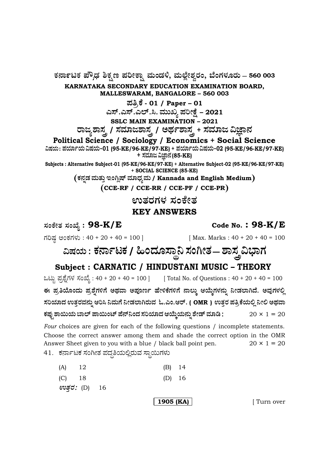**— 560 003**

**KARNATAKA SECONDARY EDUCATION EXAMINATION BOARD, MALLESWARAM, BANGALORE – 560 003**

**±Ü£ÅPæ - 01 / Paper – <sup>01</sup>**

**GÓ….GÓ….GÇ….Ô. ÊÜááS ±ÜÄàûæ – 2021**

**SSLC MAIN EXAMINATION – 2021**

ರಾಜ್ಯಶಾಸ್ತ್ರ / ಸಮಾಜಶಾಸ್ತ್ರ / ಅರ್ಥಶಾಸ್ತ್ರ + ಸಮಾಜ ವಿಜ್ಞಾನ

# **Political Science / Sociology / Economics + Social Science**

**ËÐÜ¿á : ±Ü¿Þì¿á ËÐÜ¿á&01 (95-KE/96-KE/97-KE) + ±Ü¿Þì¿á ËÐÜ¿á&02 (95-KE/96-KE/97-KE) + ÓÜÊÜÞg ËþÝ®Ü (85-KE)**

**Subjects : Alternative Subject-01 (95-KE/96-KE/97-KE) + Alternative Subject-02 (95-KE/96-KE/97-KE) + SOCIAL SCIENCE (85-KE)**

 $P(\vec{r}|\vec{r})$ ಡೆ ಮತ್ತು ಇಂಗ್ಲಿಷ್ ಮಾಧ್ಯಮ / Kannada and English Medium

**CCE-RF / CCE-RR / CCE-PF / CCE-PR**

ಉತರಗಳ ಸಂಕೇತ

### **KEY ANSWERS**

**: 98-K/E Code No. : 98-K/E**

ಗರಿಷ್ಠ ಅಂಕಗಳು : 40 + 20 + 40 = 100 ] [Max. Marks : 40 + 20 + 40 = 100

**ËÐÜ¿á : PÜ®ÝìoPÜ /×í¨ÜãÓݧ¯ ÓÜíXàñÜ — ÍÝÓÜŒ Ë»ÝWÜ**

# **Subject : CARNATIC / HINDUSTANI MUSIC – THEORY**

ಒಟ್ಟು ಪ್ರಶ್ನೆಗಳ ಸಂಖ್ಯೆ : 40 + 20 + 40 = 100 ] [ Total No. of Questions : 40 + 20 + 40 = 100 ಈ ಪ್ರತಿಯೊಂದು ಪ್ರಶ್ನೆಗಳಿಗೆ ಅಥವಾ ಅಪೂರ್ಣ ಹೇಳಿಕೆಗಳಿಗೆ ನಾಲ್ಕು ಆಯ್ಕೆಗಳನ್ನು ನೀಡಲಾಗಿದೆ. ಅವುಗಳಲ್ಲಿ  $\boldsymbol{\lambda}$ ರಿಯಾದ ಉತ್ತರವನ್ನು ಆರಿಸಿ ನಿಮಗೆ ನೀಡಲಾಗಿರುವ ಓ.ಎಂ.ಆರ್. ( OMR ) ಉತ್ತರ ಪತ್ರಿಕೆಯಲ್ಲಿ ನೀಲಿ ಅಥವಾ **PܱÜâ³ ÍÝÀá¿á ¸ÝÇ… ±ÝÀáíp… ±æ®…¯í¨Ü ÓÜÄ¿Þ¨Ü BÁáR¿á®Üá° Íæàv… ÊÜÞw** 20 × 1 = 20

*Four* choices are given for each of the following questions / incomplete statements. Choose the correct answer among them and shade the correct option in the OMR Answer Sheet given to you with a blue / black ball point pen.  $20 \times 1 = 20$ 

41. ಕರ್ನಾಟಕ ಸಂಗೀತ ಪದ್ಧತಿಯಲ್ಲಿರುವ ಸ್ಥಾಯಿಗಳು

| $(A)$ 12      |  |  | $(B)$ 14 |  |
|---------------|--|--|----------|--|
| $(C)$ 18      |  |  | $(D)$ 16 |  |
| ಉತ್ತರ: (D) 16 |  |  |          |  |

**1905 (KA)** [ Turn over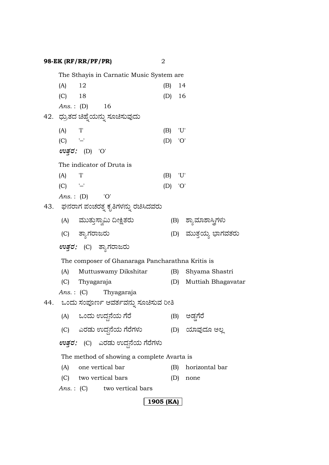## **98-EK (RF/RR/PF/PR)** 2

|           |                      | The Sthayis in Carnatic Music System are         |     |           |     |                        |
|-----------|----------------------|--------------------------------------------------|-----|-----------|-----|------------------------|
| (A)       | 12                   |                                                  |     | (B)       | 14  |                        |
| $(C)$ 18  |                      |                                                  |     | $(D)$ 16  |     |                        |
|           | <i>Ans.</i> : (D) 16 |                                                  |     |           |     |                        |
|           |                      | 42.   ಧ್ರುತದ ಚಿಹ್ನೆಯನ್ನು ಸೂಚಿಸುವುದು              |     |           |     |                        |
| (A)       | 'I'                  |                                                  | (B) |           | 'U' |                        |
| $(C)$ '-' |                      |                                                  |     | $(D)$ 'O' |     |                        |
|           | ಉತ್ತರ: (D) 'O'       |                                                  |     |           |     |                        |
|           |                      | The indicator of Druta is                        |     |           |     |                        |
| (A)       | 'I'                  |                                                  | (B) |           | 'U' |                        |
| $(C)$ '-' |                      |                                                  |     | $(D)$ 'O' |     |                        |
|           | Ans.: $(D)$ 'O'      |                                                  |     |           |     |                        |
|           |                      | 43.   ಘನರಾಗ ಪಂಚರತ್ನ ಕೃತಿಗಳನ್ನು ರಚಿಸಿದವರು         |     |           |     |                        |
|           |                      | (A) = ಮುತ್ತುಸ್ವಾಮಿ ದೀಕ್ಷಿತರು                     |     |           |     | (B) ಶ್ಯಾಮಾಶಾಸ್ತ್ರಿಗಳು  |
|           | (C) ತ್ಯಾಗರಾಜರು       |                                                  |     |           |     | (D) ಮುತ್ತಯ್ಯ ಭಾಗವತರು   |
|           |                      | <i>ಉತ್ತರ:</i> (C) ತ್ಯಾಗರಾಜರು                     |     |           |     |                        |
|           |                      | The composer of Ghanaraga Pancharathna Kritis is |     |           |     |                        |
| (A)       |                      | Muttuswamy Dikshitar                             |     |           |     | (B) Shyama Shastri     |
|           | (C) Thyagaraja       |                                                  |     |           |     | (D) Muttiah Bhagavatar |
|           |                      | <i>Ans.</i> : (C) Thyagaraja                     |     |           |     |                        |
|           |                      | 44. ಒಂದು ಸಂಪೂರ್ಣ ಆವರ್ತವನ್ನು ಸೂಚಿಸುವ ರೀತಿ         |     |           |     |                        |
|           |                      | (A) ಒಂದು ಉದ್ದನೆಯ ಗೆರೆ                            |     |           | (B) | ಅಡ್ಷಗೆರೆ               |
|           |                      | (C) ಎರಡು ಉದ್ದನೆಯ ಗೆರೆಗಳು                         |     |           |     | (D) ಯಾವುದೂ ಅಲ್ಲ        |
|           |                      | <i>ಉತ್ತರ:</i> (C) ಎರಡು ಉದ್ದನೆಯ ಗೆರೆಗಳು           |     |           |     |                        |
|           |                      | The method of showing a complete Avarta is       |     |           |     |                        |
| (A)       |                      | one vertical bar                                 |     | (B)       |     | horizontal bar         |
|           |                      | (C) two vertical bars                            |     | (D)       |     | none                   |
|           |                      | Ans.: (C) two vertical bars                      |     |           |     |                        |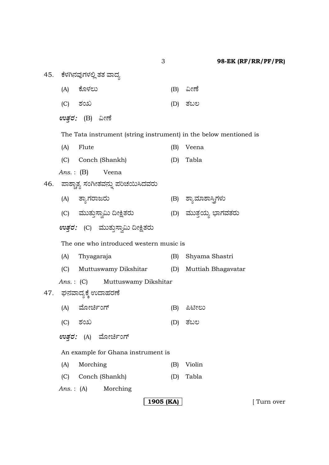45. ಕೆಳಗಿನವುಗಳಲ್ಲಿ ತತ ವಾದ್ಯ

- (A) ಕೊಳಲು (B) ವೀಣೆ
- (C) ÍÜíS (D) ñÜŸÆ

 $ev$ ತರ: (B) ವೀಣೆ

The Tata instrument (string instrument) in the below mentioned is

- (A) Flute (B) Veena (C) Conch (Shankh) (D) Tabla
- *Ans.* : (B) Veena
- 46. ಪಾಶ್ಚಾತ್ಯ ಸಂಗೀತವನ್ನು ಪರಿಚಯಿಸಿದವರು
	- (A) ñÝÂWÜÃÝgÃÜá (B) ÍÝÂÊÜÞÍÝÔŒWÜÙÜá
	- (C) ÊÜááñÜá¤ÓÝÌËá ©àüñÜÃÜá (D) ÊÜááñܤ¿á »ÝWÜÊÜñÜÃÜá
	- *ಉತ್ತರ:* (C) ಮುತ್ತುಸ್ವಾಮಿ ದೀಕ್ಷಿತರು

The one who introduced western music is

| (A) | Thyagaraja                             | (B) | Shyama Shastri     |
|-----|----------------------------------------|-----|--------------------|
|     | (C) Muttuswamy Dikshitar               | (D) | Muttiah Bhagavatar |
|     | <i>Ans.</i> : (C) Muttuswamy Dikshitar |     |                    |
|     | 47. ಘನವಾದ್ಯಕ್ಕೆ ಉದಾಹರಣೆ                |     |                    |
|     | (A) ಮೋರ್ಚಿಂಗ್                          | (B) | ಪಿಟೀಲು             |
|     | (C) ಶಂಖ                                | (D) | ತಬಲ                |
|     | <i>ಉತ್ತರ:</i> (A) ಮೋರ್ಚಿಂಗ್            |     |                    |
|     | An example for Ghana instrument is     |     |                    |
|     | $\sqrt{11}$ $\sqrt{11}$                |     |                    |

- - (A) Morching (B) Violin
	- (C) Conch (Shankh) (D) Tabla
	- *Ans.* : (A) Morching

### **1905 (KA)** [ Turn over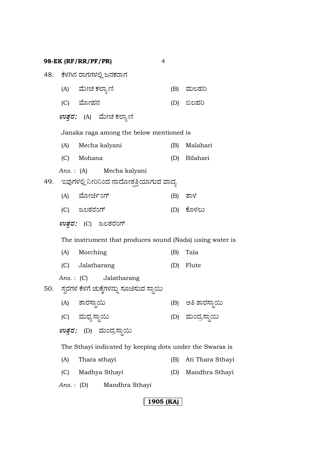**98-EK (RF/RR/PF/PR)** 4

|                                                          |                   | 48. ಕೆಳಗಿನ ರಾಗಗಳಲ್ಲಿ ಜನಕರಾಗ                              |     |                   |  |
|----------------------------------------------------------|-------------------|----------------------------------------------------------|-----|-------------------|--|
|                                                          | (A) ಮೇಚ ಕಲ್ಯಾಣಿ   |                                                          |     | (B) ಮಲಹರಿ         |  |
|                                                          | (C) ಮೋಹನ          |                                                          |     | (D) ಬಿಲಹರಿ        |  |
|                                                          |                   | <i>ಉತ್ತರ:</i> (A) ಮೇಚಕಲ್ಯಾಣಿ                             |     |                   |  |
|                                                          |                   | Janaka raga among the below mentioned is                 |     |                   |  |
|                                                          | (A) Mecha kalyani |                                                          |     | (B) Malahari      |  |
|                                                          | (C) Mohana        |                                                          |     | (D) Bilahari      |  |
|                                                          |                   | Ans.: (A) Mecha kalyani                                  |     |                   |  |
|                                                          |                   | 49.     ಇವುಗಳಲ್ಲಿ ನೀರಿನಿಂದ ನಾದೋತ್ಪತ್ತಿಯಾಗುವ ವಾದ್ಯ        |     |                   |  |
|                                                          | (A) ಮೋರ್ಚಿಂಗ್     |                                                          |     | (B) ತಾಳ           |  |
|                                                          | (C) ಜಲತರಂಗ್       |                                                          |     | (D) ಕೊಳಲು         |  |
|                                                          |                   | <i>ಉತ್ತರ:</i> (C) ಜಲತರಂಗ್                                |     |                   |  |
|                                                          |                   | The instrument that produces sound (Nada) using water is |     |                   |  |
|                                                          | (A) Morching      |                                                          | (B) | Tala              |  |
|                                                          | (C) Jalatharang   |                                                          |     | (D) Flute         |  |
|                                                          |                   | Ans.: (C) Jalatharang                                    |     |                   |  |
|                                                          |                   | 50. – ಸ್ವರಗಳ ಕೆಳಗೆ ಚುಕ್ಕೆಗಳನ್ನು ಸೂಚಿಸುವ ಸ್ಥಾಯಿ           |     |                   |  |
|                                                          | (A) ತಾರಸ್ಥಾಯಿ     |                                                          |     | (B) ಅತಿ ತಾರಸ್ಥಾಯಿ |  |
|                                                          | (C) ಮಧ್ಯಸ್ಥಾಯಿ    |                                                          |     | (D) ಮಂದ್ರಸ್ಥಾಯಿ   |  |
|                                                          |                   | <i>ಉತ್ತರ:</i> (D) ಮಂದ್ರಸ್ಥಾಯಿ                            |     |                   |  |
| The Sthayi indicated by keeping dots under the Swaras is |                   |                                                          |     |                   |  |
| (A)                                                      | Thara sthayi      |                                                          | (B) | Ati Thara Sthayi  |  |
| (C)                                                      |                   | Madhya Sthayi                                            | (D) | Mandhra Sthayi    |  |
| Ans. :                                                   | (D)               | Mandhra Sthayi                                           |     |                   |  |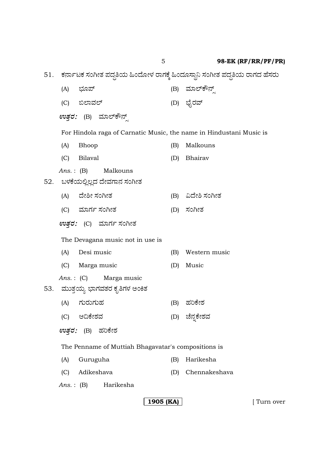5 **98-EK (RF/RR/PF/PR)**

51. ಕರ್ನಾಟಕ ಸಂಗೀತ ಪದ್ಧತಿಯ ಹಿಂದೋಳ ರಾಗಕ್ಕೆ ಹಿಂದೂಸ್ಥಾನಿ ಸಂಗೀತ ಪದ್ಧತಿಯ ರಾಗದ ಹೆಸರು (A) »Üã±… (B) ÊÜÞÇ…Pè®…Õ (C) ¹ÇÝÊÜÇ… (D) »æçÃÜÊ… *ಉತ್ತರ:* (B) ಮಾಲ್**ಕೌನ್** For Hindola raga of Carnatic Music, the name in Hindustani Music is (A) Bhoop (B) Malkouns (C) Bilaval (D) Bhairav *Ans.* : (B) Malkouns 52. ಬಳಕೆಯಲ್ಲಿಲ್ಲದ ದೇವಗಾನ ಸಂಗೀತ (A) ¨æàÎà ÓÜíXàñÜ (B) ˨æàÎ ÓÜíXàñÜ (C) ÊÜÞWÜì ÓÜíXàñÜ (D) ÓÜíXàñÜ *ಉತ್ತರ:* (C) ಮಾರ್ಗ ಸಂಗೀತ The Devagana music not in use is (A) Desi music (B) Western music (C) Marga music (D) Music *Ans.* : (C) Marga music 53. ಮುತ್ತಯ್ಯ ಭಾಗವತರ ಕೃತಿಗಳ ಅಂಕಿತ (A) ಗುರುಗುಹ (B) ಹರಿಕೇಶ (C) B©PæàÍÜÊÜ (D) aæ®Ü°PæàÍÜÊÜ  $ev$ ತರ: (B) ಹರಿಕೇಶ The Penname of Muttiah Bhagavatar's compositions is (A) Guruguha (B) Harikesha (C) Adikeshava (D) Chennakeshava *Ans.* : (B) Harikesha

**1905 (KA)**  $\vert$  [ Turn over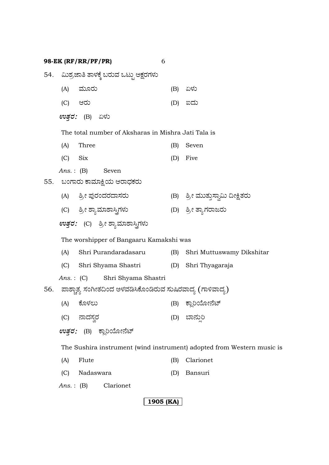**98-EK (RF/RR/PF/PR)** 6 54. ಮಿಶ್ರಜಾತಿ ತಾಳಕ್ಕೆ ಬರುವ ಒಟ್ಟು ಅಕ್ಷರಗಳು (A) ಮೂರು (B) ಏಳು (C) BÃÜá (D) I¨Üá  $\mathfrak{w}$ *ತ್ತ*: (B) ಏಳು The total number of Aksharas in Mishra Jati Tala is (A) Three (B) Seven (C) Six (D) Five *Ans.* : (B) Seven 55. ಬಂಗಾರು ಕಾಮಾಕ್ಷಿಯ ಆರಾಧಕರು (A) ÎÅà ±ÜâÃÜí¨ÜÃܨÝÓÜÃÜá (B) ÎÅà ÊÜááñÜá¤ÓÝÌËá ©àüñÜÃÜá (C) ÎÅà ÍÝÂÊÜÞÍÝÔŒWÜÙÜá (D) ÎÅà ñÝÂWÜÃÝgÃÜá  $\pmb{\textit{evg}}$ ರ: (C) ಶ್ರೀ ಶ್ಯಾಮಾಶಾಸ್ತ್ರಿಗಳು The worshipper of Bangaaru Kamakshi was (A) Shri Purandaradasaru (B) Shri Muttuswamy Dikshitar (C) Shri Shyama Shastri (D) Shri Thyagaraja *Ans.* : (C) Shri Shyama Shastri 56. ಪಾಶ್ಚಾತ್ಯ ಸಂಗೀತದಿಂದ ಅಳವಡಿಸಿಕೊಂಡಿರುವ ಸುಷಿರವಾದ್ಯ (ಗಾಳಿವಾದ್ಯ) (A) PæãÙÜÆá (B) PÝÉÄÁãà®æp… (C) ®Ý¨ÜÓÜÌÃÜ (D) ¸Ý®ÜáÕÄ  $ev$ ತ್ತರ: (B) ಕ್ಲಾರಿಯೋನೆಟ್ The Sushira instrument (wind instrument) adopted from Western music is (A) Flute (B) Clarionet (C) Nadaswara (D) Bansuri *Ans.* : (B) Clarionet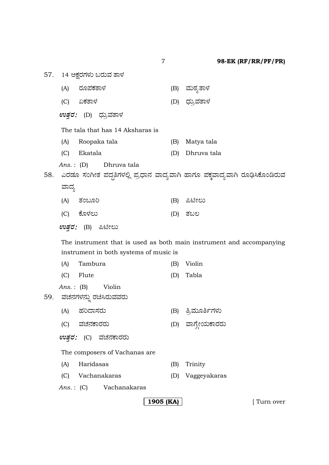(A) ÃÜã±ÜPÜñÝÙÜ (B) ÊÜásÜÂñÝÙÜ

(C) HPÜñÝÙÜ (D) «ÜáÅÊÜñÝÙÜ

 $ev$ ತರ: (D) ಧ್ರುವತಾಳ

57. 14 ಅಕ್ಷರಗಳು ಬರುವ ತಾಳ

The tala that has 14 Aksharas is

- (A) Roopaka tala (B) Matya tala
- (C) Ekatala (D) Dhruva tala
- *Ans.* : (D) Dhruva tala

58. ಎರಡೂ ಸಂಗೀತ ಪದ್ಧತಿಗಳಲ್ಲಿ ಪ್ರಧಾನ ವಾದ್ಯವಾಗಿ ಹಾಗೂ ಪಕ್ಕವಾದ್ಯವಾಗಿ ರೂಢಿಸಿಕೊಂಡಿರುವ ವಾದ್ಯ

| (A) ತಂಬೂರಿ | (B) ಪಿಟೀಲು |
|------------|------------|
| (C) ಕೊಳಲು  | (D) ತಬಲ    |

 $ev$ ತ್ತರ: (B) ಪಿಟೀಲು

The instrument that is used as both main instrument and accompanying instrument in both systems of music is

|     | (A) | Tambura                                     | (B) | Violin           |
|-----|-----|---------------------------------------------|-----|------------------|
|     | (C) | Flute                                       | (D) | Tabla            |
| 59. |     | $Ans.: (B)$ Violin<br>ವಚನಗಳನ್ನು ರಚಿಸಿರುವವರು |     |                  |
|     | (A) | ಹರಿದಾಸರು                                    | (B) | ತ್ರಿಮೂರ್ತಿಗಳು    |
|     | (C) | ವಚನಕಾರರು                                    |     | (D) ವಾಗ್ತೇಯಕಾರರು |
|     |     | <i>ಉತ್ತರ:</i> (C) ವಚನಕಾರರು                  |     |                  |
|     |     | The composers of Vachanas are.              |     |                  |
|     | (A) | Haridasas                                   | (B) | Trinity          |
|     | (C) | Vachanakaras                                | (D) | Vaggeyakaras     |
|     |     | Ans.: (C) Vachanakaras                      |     |                  |

**1905 (KA)** [ Turn over